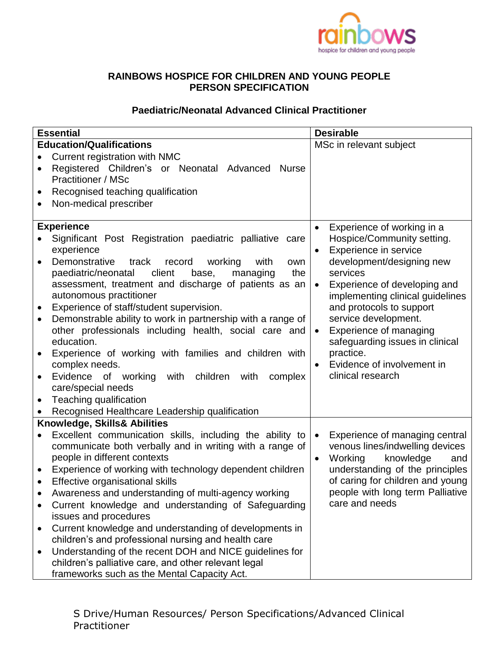

## **RAINBOWS HOSPICE FOR CHILDREN AND YOUNG PEOPLE PERSON SPECIFICATION**

## **Paediatric/Neonatal Advanced Clinical Practitioner**

| <b>Essential</b>                |                                                                                                                      | <b>Desirable</b>                                 |
|---------------------------------|----------------------------------------------------------------------------------------------------------------------|--------------------------------------------------|
| <b>Education/Qualifications</b> |                                                                                                                      | MSc in relevant subject                          |
|                                 | Current registration with NMC                                                                                        |                                                  |
|                                 | Registered Children's or Neonatal Advanced<br><b>Nurse</b>                                                           |                                                  |
|                                 | <b>Practitioner / MSc</b>                                                                                            |                                                  |
|                                 | Recognised teaching qualification                                                                                    |                                                  |
| $\bullet$                       | Non-medical prescriber                                                                                               |                                                  |
|                                 |                                                                                                                      |                                                  |
|                                 | <b>Experience</b>                                                                                                    | Experience of working in a<br>$\bullet$          |
|                                 | Significant Post Registration paediatric palliative care                                                             | Hospice/Community setting.                       |
|                                 | experience                                                                                                           | Experience in service<br>$\bullet$               |
|                                 | Demonstrative<br>track<br>working<br>record<br>with<br>own                                                           | development/designing new                        |
|                                 | paediatric/neonatal<br>client<br>base,<br>the<br>managing                                                            | services                                         |
|                                 | assessment, treatment and discharge of patients as an                                                                | Experience of developing and<br>$\bullet$        |
|                                 | autonomous practitioner                                                                                              | implementing clinical guidelines                 |
| $\bullet$                       | Experience of staff/student supervision.                                                                             | and protocols to support<br>service development. |
| $\bullet$                       | Demonstrable ability to work in partnership with a range of<br>other professionals including health, social care and | Experience of managing                           |
|                                 | education.                                                                                                           | $\bullet$<br>safeguarding issues in clinical     |
|                                 | Experience of working with families and children with                                                                | practice.                                        |
|                                 | complex needs.                                                                                                       | Evidence of involvement in<br>$\bullet$          |
| $\bullet$                       | Evidence of working<br>with children<br>with<br>complex                                                              | clinical research                                |
|                                 | care/special needs                                                                                                   |                                                  |
| $\bullet$                       | Teaching qualification                                                                                               |                                                  |
|                                 | Recognised Healthcare Leadership qualification                                                                       |                                                  |
| Knowledge, Skills& Abilities    |                                                                                                                      |                                                  |
| $\bullet$                       | Excellent communication skills, including the ability to                                                             | Experience of managing central<br>$\bullet$      |
|                                 | communicate both verbally and in writing with a range of                                                             | venous lines/indwelling devices                  |
|                                 | people in different contexts                                                                                         | Working<br>knowledge<br>and<br>$\bullet$         |
| $\bullet$                       | Experience of working with technology dependent children                                                             | understanding of the principles                  |
| $\bullet$                       | Effective organisational skills                                                                                      | of caring for children and young                 |
|                                 | Awareness and understanding of multi-agency working                                                                  | people with long term Palliative                 |
|                                 | Current knowledge and understanding of Safeguarding                                                                  | care and needs                                   |
|                                 | issues and procedures                                                                                                |                                                  |
| $\bullet$                       | Current knowledge and understanding of developments in                                                               |                                                  |
|                                 | children's and professional nursing and health care                                                                  |                                                  |
| $\bullet$                       | Understanding of the recent DOH and NICE guidelines for                                                              |                                                  |
|                                 | children's palliative care, and other relevant legal                                                                 |                                                  |
|                                 | frameworks such as the Mental Capacity Act.                                                                          |                                                  |